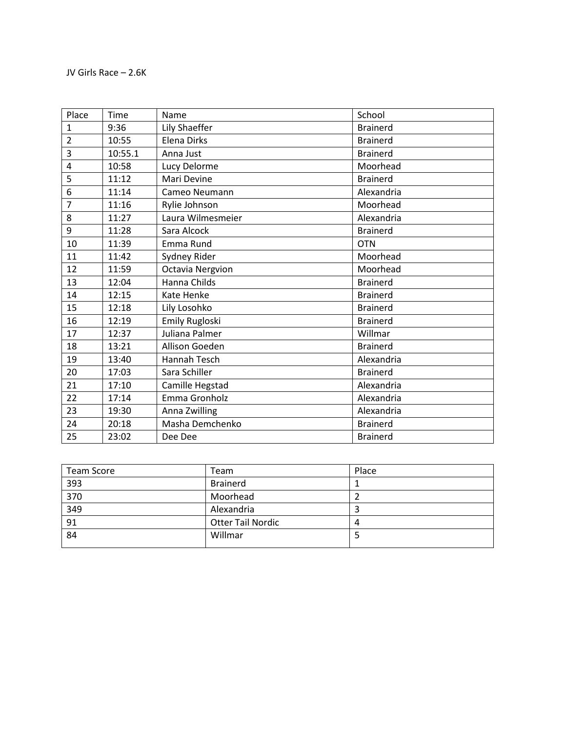| Place          | Time    | Name                    | School          |
|----------------|---------|-------------------------|-----------------|
| 1              | 9:36    | Lily Shaeffer           | <b>Brainerd</b> |
| $\overline{2}$ | 10:55   | Elena Dirks             | <b>Brainerd</b> |
| 3              | 10:55.1 | Anna Just               | <b>Brainerd</b> |
| 4              | 10:58   | Lucy Delorme            | Moorhead        |
| 5              | 11:12   | Mari Devine             | <b>Brainerd</b> |
| 6              | 11:14   | Cameo Neumann           | Alexandria      |
| 7              | 11:16   | Rylie Johnson           | Moorhead        |
| 8              | 11:27   | Laura Wilmesmeier       | Alexandria      |
| 9              | 11:28   | Sara Alcock             | <b>Brainerd</b> |
| 10             | 11:39   | Emma Rund               | <b>OTN</b>      |
| 11             | 11:42   | Sydney Rider            | Moorhead        |
| 12             | 11:59   | <b>Octavia Nergvion</b> | Moorhead        |
| 13             | 12:04   | Hanna Childs            | <b>Brainerd</b> |
| 14             | 12:15   | Kate Henke              | <b>Brainerd</b> |
| 15             | 12:18   | Lily Losohko            | <b>Brainerd</b> |
| 16             | 12:19   | <b>Emily Rugloski</b>   | <b>Brainerd</b> |
| 17             | 12:37   | Juliana Palmer          | Willmar         |
| 18             | 13:21   | Allison Goeden          | <b>Brainerd</b> |
| 19             | 13:40   | <b>Hannah Tesch</b>     | Alexandria      |
| 20             | 17:03   | Sara Schiller           | <b>Brainerd</b> |
| 21             | 17:10   | Camille Hegstad         | Alexandria      |
| 22             | 17:14   | Emma Gronholz           | Alexandria      |
| 23             | 19:30   | Anna Zwilling           | Alexandria      |
| 24             | 20:18   | Masha Demchenko         | <b>Brainerd</b> |
| 25             | 23:02   | Dee Dee                 | <b>Brainerd</b> |

| <b>Team Score</b> | Team                     | Place |
|-------------------|--------------------------|-------|
| 393               | <b>Brainerd</b>          |       |
| 370               | Moorhead                 |       |
| 349               | Alexandria               |       |
| 91                | <b>Otter Tail Nordic</b> |       |
| 84                | Willmar                  |       |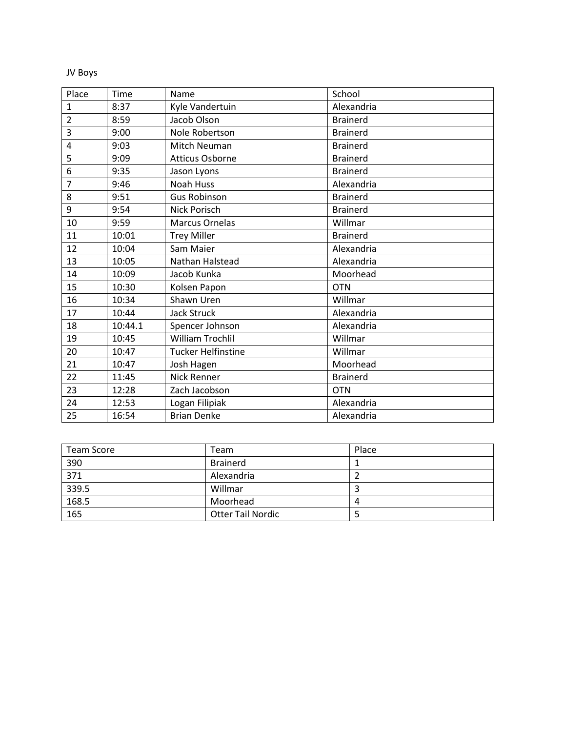## JV Boys

| Place          | Time    | Name                      | School          |
|----------------|---------|---------------------------|-----------------|
| 1              | 8:37    | Kyle Vandertuin           | Alexandria      |
| $\overline{2}$ | 8:59    | Jacob Olson               | <b>Brainerd</b> |
| 3              | 9:00    | Nole Robertson            | <b>Brainerd</b> |
| 4              | 9:03    | Mitch Neuman              | <b>Brainerd</b> |
| 5              | 9:09    | <b>Atticus Osborne</b>    | <b>Brainerd</b> |
| 6              | 9:35    | Jason Lyons               | <b>Brainerd</b> |
| 7              | 9:46    | <b>Noah Huss</b>          | Alexandria      |
| 8              | 9:51    | <b>Gus Robinson</b>       | <b>Brainerd</b> |
| 9              | 9:54    | <b>Nick Porisch</b>       | <b>Brainerd</b> |
| 10             | 9:59    | <b>Marcus Ornelas</b>     | Willmar         |
| 11             | 10:01   | <b>Trey Miller</b>        | <b>Brainerd</b> |
| 12             | 10:04   | Sam Maier                 | Alexandria      |
| 13             | 10:05   | Nathan Halstead           | Alexandria      |
| 14             | 10:09   | Jacob Kunka               | Moorhead        |
| 15             | 10:30   | Kolsen Papon              | <b>OTN</b>      |
| 16             | 10:34   | Shawn Uren                | Willmar         |
| 17             | 10:44   | <b>Jack Struck</b>        | Alexandria      |
| 18             | 10:44.1 | Spencer Johnson           | Alexandria      |
| 19             | 10:45   | <b>William Trochlil</b>   | Willmar         |
| 20             | 10:47   | <b>Tucker Helfinstine</b> | Willmar         |
| 21             | 10:47   | Josh Hagen                | Moorhead        |
| 22             | 11:45   | Nick Renner               | <b>Brainerd</b> |
| 23             | 12:28   | Zach Jacobson             | <b>OTN</b>      |
| 24             | 12:53   | Logan Filipiak            | Alexandria      |
| 25             | 16:54   | <b>Brian Denke</b>        | Alexandria      |

| <b>Team Score</b> | Team                     | Place |
|-------------------|--------------------------|-------|
| 390               | <b>Brainerd</b>          |       |
| 371               | Alexandria               |       |
| 339.5             | Willmar                  |       |
| 168.5             | Moorhead                 | 4     |
| 165               | <b>Otter Tail Nordic</b> |       |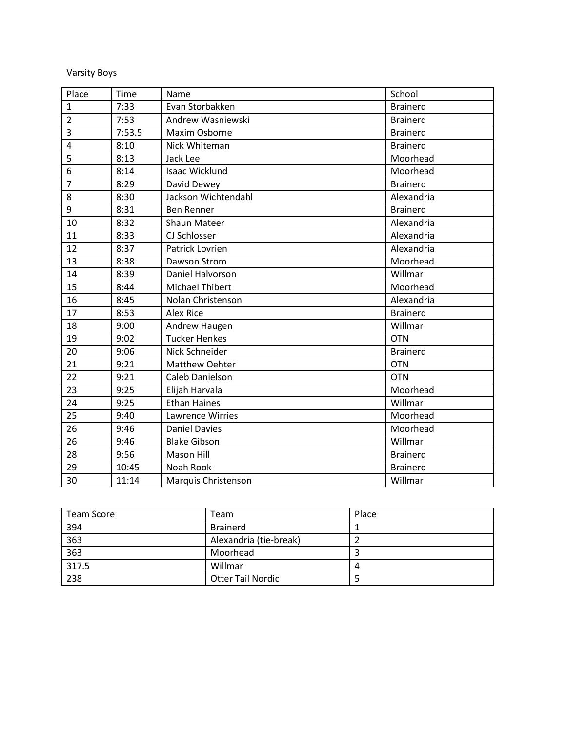Varsity Boys

| Place          | Time   | Name                    | School          |
|----------------|--------|-------------------------|-----------------|
| 1              | 7:33   | Evan Storbakken         | <b>Brainerd</b> |
| $\overline{2}$ | 7:53   | Andrew Wasniewski       | <b>Brainerd</b> |
| 3              | 7:53.5 | Maxim Osborne           | <b>Brainerd</b> |
| 4              | 8:10   | Nick Whiteman           | <b>Brainerd</b> |
| 5              | 8:13   | Jack Lee                | Moorhead        |
| 6              | 8:14   | Isaac Wicklund          | Moorhead        |
| $\overline{7}$ | 8:29   | David Dewey             | <b>Brainerd</b> |
| 8              | 8:30   | Jackson Wichtendahl     | Alexandria      |
| 9              | 8:31   | <b>Ben Renner</b>       | <b>Brainerd</b> |
| 10             | 8:32   | Shaun Mateer            | Alexandria      |
| 11             | 8:33   | CJ Schlosser            | Alexandria      |
| 12             | 8:37   | Patrick Lovrien         | Alexandria      |
| 13             | 8:38   | Dawson Strom            | Moorhead        |
| 14             | 8:39   | Daniel Halvorson        | Willmar         |
| 15             | 8:44   | <b>Michael Thibert</b>  | Moorhead        |
| 16             | 8:45   | Nolan Christenson       | Alexandria      |
| 17             | 8:53   | <b>Alex Rice</b>        | <b>Brainerd</b> |
| 18             | 9:00   | Andrew Haugen           | Willmar         |
| 19             | 9:02   | <b>Tucker Henkes</b>    | <b>OTN</b>      |
| 20             | 9:06   | Nick Schneider          | <b>Brainerd</b> |
| 21             | 9:21   | Matthew Oehter          | <b>OTN</b>      |
| 22             | 9:21   | Caleb Danielson         | <b>OTN</b>      |
| 23             | 9:25   | Elijah Harvala          | Moorhead        |
| 24             | 9:25   | <b>Ethan Haines</b>     | Willmar         |
| 25             | 9:40   | <b>Lawrence Wirries</b> | Moorhead        |
| 26             | 9:46   | <b>Daniel Davies</b>    | Moorhead        |
| 26             | 9:46   | <b>Blake Gibson</b>     | Willmar         |
| 28             | 9:56   | <b>Mason Hill</b>       | <b>Brainerd</b> |
| 29             | 10:45  | Noah Rook               | <b>Brainerd</b> |
| 30             | 11:14  | Marquis Christenson     | Willmar         |

| <b>Team Score</b> | Team                     | Place |
|-------------------|--------------------------|-------|
| 394               | <b>Brainerd</b>          |       |
| 363               | Alexandria (tie-break)   |       |
| 363               | Moorhead                 |       |
| 317.5             | Willmar                  | 4     |
| 238               | <b>Otter Tail Nordic</b> |       |